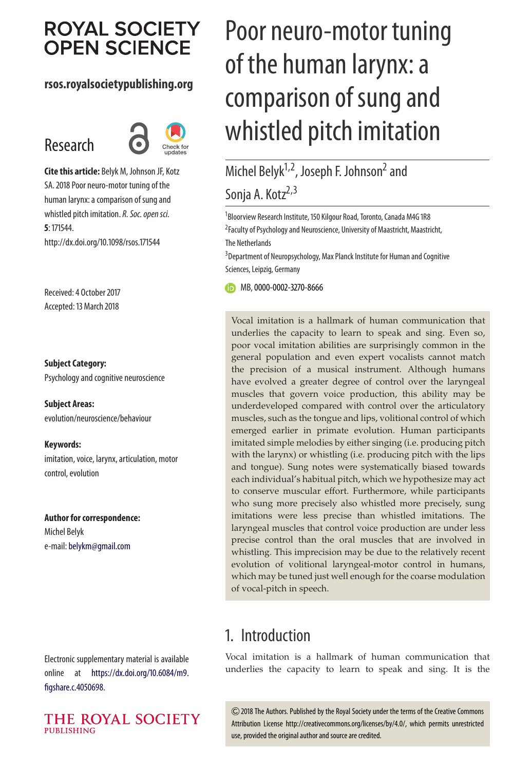# **ROYAL SOCIETY OPEN SCIENCE**

#### **rsos.royalsocietypublishing.org**

# Research



**Cite this article:** Belyk M, Johnson JF, Kotz SA. 2018 Poor neuro-motor tuning of the human larynx: a comparison of sung and whistled pitch imitation. R. Soc. open sci. **5**: 171544. http://dx.doi.org/10.1098/rsos.171544

Received: 4 October 2017 Accepted: 13 March 2018

#### **Subject Category:**

Psychology and cognitive neuroscience

**Subject Areas:** evolution/neuroscience/behaviour

**Keywords:** imitation, voice, larynx, articulation, motor control, evolution

#### **Author for correspondence:**

Michel Belyk e-mail: [belykm@gmail.com](mailto:belykm@gmail.com)

Electronic supplementary material is available online at [https://dx.doi.org/10.6084/m9.](https://dx.doi.org/10.6084/m9.figshare.c.4050698) [figshare.c.4050698.](https://dx.doi.org/10.6084/m9.figshare.c.4050698)



# Poor neuro-motor tuning of the human larynx: a comparison of sung and whistled pitch imitation

# Michel Belyk<sup>1,2</sup>, Joseph F. Johnson<sup>2</sup> and Sonja A. Kotz<sup>2,3</sup>

<sup>1</sup>Bloorview Research Institute, 150 Kilgour Road, Toronto, Canada M4G 1R8 <sup>2</sup> Faculty of Psychology and Neuroscience, University of Maastricht, Maastricht, The Netherlands

<sup>3</sup> Department of Neuropsychology, Max Planck Institute for Human and Cognitive Sciences, Leipzig, Germany

MB,[0000-0002-3270-8666](http://orcid.org/0000-0002-3270-8666)

Vocal imitation is a hallmark of human communication that underlies the capacity to learn to speak and sing. Even so, poor vocal imitation abilities are surprisingly common in the general population and even expert vocalists cannot match the precision of a musical instrument. Although humans have evolved a greater degree of control over the laryngeal muscles that govern voice production, this ability may be underdeveloped compared with control over the articulatory muscles, such as the tongue and lips, volitional control of which emerged earlier in primate evolution. Human participants imitated simple melodies by either singing (i.e. producing pitch with the larynx) or whistling (i.e. producing pitch with the lips and tongue). Sung notes were systematically biased towards each individual's habitual pitch, which we hypothesize may act to conserve muscular effort. Furthermore, while participants who sung more precisely also whistled more precisely, sung imitations were less precise than whistled imitations. The laryngeal muscles that control voice production are under less precise control than the oral muscles that are involved in whistling. This imprecision may be due to the relatively recent evolution of volitional laryngeal-motor control in humans, which may be tuned just well enough for the coarse modulation of vocal-pitch in speech.

### 1. Introduction

Vocal imitation is a hallmark of human communication that underlies the capacity to learn to speak and sing. It is the

2018 The Authors. Published by the Royal Society under the terms of the Creative Commons Attribution License http://creativecommons.org/licenses/by/4.0/, which permits unrestricted use, provided the original author and source are credited.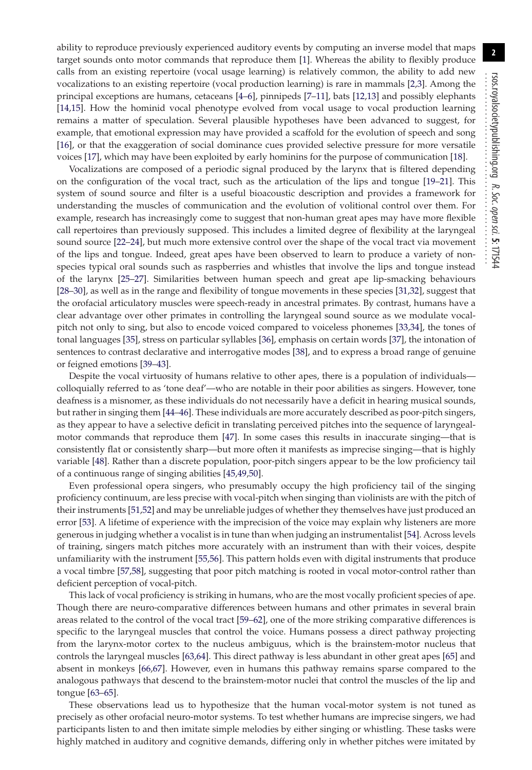ability to reproduce previously experienced auditory events by computing an inverse model that maps target sounds onto motor commands that reproduce them [\[1\]](#page-10-0). Whereas the ability to flexibly produce calls from an existing repertoire (vocal usage learning) is relatively common, the ability to add new vocalizations to an existing repertoire (vocal production learning) is rare in mammals [\[2,](#page-10-1)[3\]](#page-10-2). Among the principal exceptions are humans, cetaceans [\[4–](#page-10-3)[6\]](#page-10-4), pinnipeds [\[7](#page-10-5)[–11\]](#page-10-6), bats [\[12](#page-10-7)[,13\]](#page-10-8) and possibly elephants [\[14,](#page-10-9)[15\]](#page-10-10). How the hominid vocal phenotype evolved from vocal usage to vocal production learning remains a matter of speculation. Several plausible hypotheses have been advanced to suggest, for example, that emotional expression may have provided a scaffold for the evolution of speech and song [\[16\]](#page-10-11), or that the exaggeration of social dominance cues provided selective pressure for more versatile voices [\[17\]](#page-10-12), which may have been exploited by early hominins for the purpose of communication [\[18\]](#page-10-13).

Vocalizations are composed of a periodic signal produced by the larynx that is filtered depending on the configuration of the vocal tract, such as the articulation of the lips and tongue [\[19](#page-10-14)[–21\]](#page-10-15). This system of sound source and filter is a useful bioacoustic description and provides a framework for understanding the muscles of communication and the evolution of volitional control over them. For example, research has increasingly come to suggest that non-human great apes may have more flexible call repertoires than previously supposed. This includes a limited degree of flexibility at the laryngeal sound source [\[22](#page-10-16)[–24\]](#page-10-17), but much more extensive control over the shape of the vocal tract via movement of the lips and tongue. Indeed, great apes have been observed to learn to produce a variety of nonspecies typical oral sounds such as raspberries and whistles that involve the lips and tongue instead of the larynx [\[25–](#page-10-18)[27\]](#page-10-19). Similarities between human speech and great ape lip-smacking behaviours [\[28](#page-10-20)[–30\]](#page-11-0), as well as in the range and flexibility of tongue movements in these species [\[31](#page-11-1)[,32\]](#page-11-2), suggest that the orofacial articulatory muscles were speech-ready in ancestral primates. By contrast, humans have a clear advantage over other primates in controlling the laryngeal sound source as we modulate vocalpitch not only to sing, but also to encode voiced compared to voiceless phonemes [\[33](#page-11-3)[,34\]](#page-11-4), the tones of tonal languages [\[35\]](#page-11-5), stress on particular syllables [\[36\]](#page-11-6), emphasis on certain words [\[37\]](#page-11-7), the intonation of sentences to contrast declarative and interrogative modes [\[38\]](#page-11-8), and to express a broad range of genuine or feigned emotions [\[39](#page-11-9)[–43\]](#page-11-10).

Despite the vocal virtuosity of humans relative to other apes, there is a population of individuals colloquially referred to as 'tone deaf'—who are notable in their poor abilities as singers. However, tone deafness is a misnomer, as these individuals do not necessarily have a deficit in hearing musical sounds, but rather in singing them [\[44–](#page-11-11)[46\]](#page-11-12). These individuals are more accurately described as poor-pitch singers, as they appear to have a selective deficit in translating perceived pitches into the sequence of laryngealmotor commands that reproduce them [\[47\]](#page-11-13). In some cases this results in inaccurate singing—that is consistently flat or consistently sharp—but more often it manifests as imprecise singing—that is highly variable [\[48\]](#page-11-14). Rather than a discrete population, poor-pitch singers appear to be the low proficiency tail of a continuous range of singing abilities [\[45](#page-11-15)[,49](#page-11-16)[,50\]](#page-11-17).

Even professional opera singers, who presumably occupy the high proficiency tail of the singing proficiency continuum, are less precise with vocal-pitch when singing than violinists are with the pitch of their instruments [\[51,](#page-11-18)[52\]](#page-11-19) and may be unreliable judges of whether they themselves have just produced an error [\[53\]](#page-11-20). A lifetime of experience with the imprecision of the voice may explain why listeners are more generous in judging whether a vocalist is in tune than when judging an instrumentalist [\[54\]](#page-11-21). Across levels of training, singers match pitches more accurately with an instrument than with their voices, despite unfamiliarity with the instrument [\[55,](#page-11-22)[56\]](#page-11-23). This pattern holds even with digital instruments that produce a vocal timbre [\[57](#page-11-24)[,58\]](#page-11-25), suggesting that poor pitch matching is rooted in vocal motor-control rather than deficient perception of vocal-pitch.

This lack of vocal proficiency is striking in humans, who are the most vocally proficient species of ape. Though there are neuro-comparative differences between humans and other primates in several brain areas related to the control of the vocal tract [\[59–](#page-11-26)[62\]](#page-11-27), one of the more striking comparative differences is specific to the laryngeal muscles that control the voice. Humans possess a direct pathway projecting from the larynx-motor cortex to the nucleus ambiguus, which is the brainstem-motor nucleus that controls the laryngeal muscles [\[63,](#page-11-28)[64\]](#page-11-29). This direct pathway is less abundant in other great apes [\[65\]](#page-11-30) and absent in monkeys [\[66,](#page-11-31)[67\]](#page-11-32). However, even in humans this pathway remains sparse compared to the analogous pathways that descend to the brainstem-motor nuclei that control the muscles of the lip and tongue [\[63–](#page-11-28)[65\]](#page-11-30).

These observations lead us to hypothesize that the human vocal-motor system is not tuned as precisely as other orofacial neuro-motor systems. To test whether humans are imprecise singers, we had participants listen to and then imitate simple melodies by either singing or whistling. These tasks were highly matched in auditory and cognitive demands, differing only in whether pitches were imitated by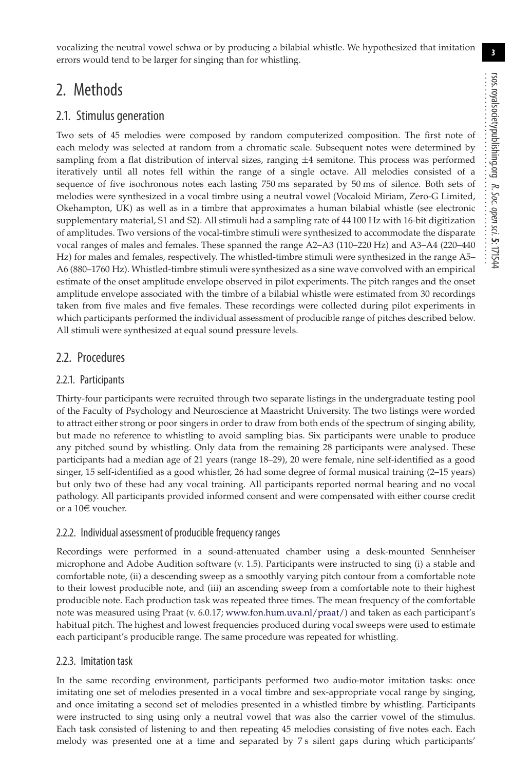**3**

vocalizing the neutral vowel schwa or by producing a bilabial whistle. We hypothesized that imitation errors would tend to be larger for singing than for whistling.

### 2. Methods

#### 2.1. Stimulus generation

Two sets of 45 melodies were composed by random computerized composition. The first note of each melody was selected at random from a chromatic scale. Subsequent notes were determined by sampling from a flat distribution of interval sizes, ranging  $\pm 4$  semitone. This process was performed iteratively until all notes fell within the range of a single octave. All melodies consisted of a sequence of five isochronous notes each lasting 750 ms separated by 50 ms of silence. Both sets of melodies were synthesized in a vocal timbre using a neutral vowel (Vocaloid Miriam, Zero-G Limited, Okehampton, UK) as well as in a timbre that approximates a human bilabial whistle (see electronic supplementary material, S1 and S2). All stimuli had a sampling rate of 44 100 Hz with 16-bit digitization of amplitudes. Two versions of the vocal-timbre stimuli were synthesized to accommodate the disparate vocal ranges of males and females. These spanned the range A2–A3 (110–220 Hz) and A3–A4 (220–440 Hz) for males and females, respectively. The whistled-timbre stimuli were synthesized in the range A5– A6 (880–1760 Hz). Whistled-timbre stimuli were synthesized as a sine wave convolved with an empirical estimate of the onset amplitude envelope observed in pilot experiments. The pitch ranges and the onset amplitude envelope associated with the timbre of a bilabial whistle were estimated from 30 recordings taken from five males and five females. These recordings were collected during pilot experiments in which participants performed the individual assessment of producible range of pitches described below. All stimuli were synthesized at equal sound pressure levels.

#### 2.2. Procedures

#### 2.2.1. Participants

Thirty-four participants were recruited through two separate listings in the undergraduate testing pool of the Faculty of Psychology and Neuroscience at Maastricht University. The two listings were worded to attract either strong or poor singers in order to draw from both ends of the spectrum of singing ability, but made no reference to whistling to avoid sampling bias. Six participants were unable to produce any pitched sound by whistling. Only data from the remaining 28 participants were analysed. These participants had a median age of 21 years (range 18–29), 20 were female, nine self-identified as a good singer, 15 self-identified as a good whistler, 26 had some degree of formal musical training (2–15 years) but only two of these had any vocal training. All participants reported normal hearing and no vocal pathology. All participants provided informed consent and were compensated with either course credit or a  $10 \in$  voucher.

#### 2.2.2. Individual assessment of producible frequency ranges

Recordings were performed in a sound-attenuated chamber using a desk-mounted Sennheiser microphone and Adobe Audition software (v. 1.5). Participants were instructed to sing (i) a stable and comfortable note, (ii) a descending sweep as a smoothly varying pitch contour from a comfortable note to their lowest producible note, and (iii) an ascending sweep from a comfortable note to their highest producible note. Each production task was repeated three times. The mean frequency of the comfortable note was measured using Praat (v. 6.0.17; [www.fon.hum.uva.nl/praat/\)](www.fon.hum.uva.nl/praat/) and taken as each participant's habitual pitch. The highest and lowest frequencies produced during vocal sweeps were used to estimate each participant's producible range. The same procedure was repeated for whistling.

#### 2.2.3. Imitation task

In the same recording environment, participants performed two audio-motor imitation tasks: once imitating one set of melodies presented in a vocal timbre and sex-appropriate vocal range by singing, and once imitating a second set of melodies presented in a whistled timbre by whistling. Participants were instructed to sing using only a neutral vowel that was also the carrier vowel of the stimulus. Each task consisted of listening to and then repeating 45 melodies consisting of five notes each. Each melody was presented one at a time and separated by 7 s silent gaps during which participants'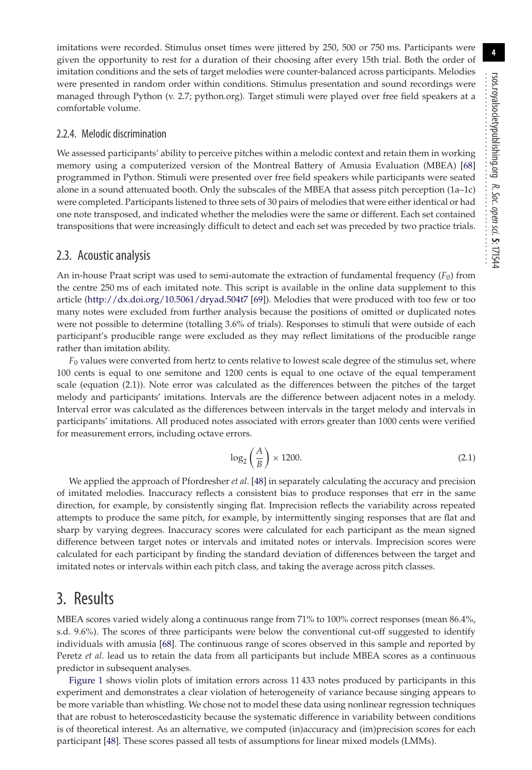imitations were recorded. Stimulus onset times were jittered by 250, 500 or 750 ms. Participants were given the opportunity to rest for a duration of their choosing after every 15th trial. Both the order of imitation conditions and the sets of target melodies were counter-balanced across participants. Melodies were presented in random order within conditions. Stimulus presentation and sound recordings were managed through Python (v. 2.7; python.org). Target stimuli were played over free field speakers at a comfortable volume.

#### 2.2.4. Melodic discrimination

We assessed participants' ability to perceive pitches within a melodic context and retain them in working memory using a computerized version of the Montreal Battery of Amusia Evaluation (MBEA) [\[68\]](#page-11-33) programmed in Python. Stimuli were presented over free field speakers while participants were seated alone in a sound attenuated booth. Only the subscales of the MBEA that assess pitch perception (1a–1c) were completed. Participants listened to three sets of 30 pairs of melodies that were either identical or had one note transposed, and indicated whether the melodies were the same or different. Each set contained transpositions that were increasingly difficult to detect and each set was preceded by two practice trials.

#### 2.3. Acoustic analysis

An in-house Praat script was used to semi-automate the extraction of fundamental frequency ( $F_0$ ) from the centre 250 ms of each imitated note. This script is available in the online data supplement to this article [\(http://dx.doi.org/10.5061/dryad.504t7](http://dx.doi.org/10.5061/dryad.504t7) [\[69\]](#page-11-34)). Melodies that were produced with too few or too many notes were excluded from further analysis because the positions of omitted or duplicated notes were not possible to determine (totalling 3.6% of trials). Responses to stimuli that were outside of each participant's producible range were excluded as they may reflect limitations of the producible range rather than imitation ability.

*F*<sup>0</sup> values were converted from hertz to cents relative to lowest scale degree of the stimulus set, where 100 cents is equal to one semitone and 1200 cents is equal to one octave of the equal temperament scale (equation (2.1)). Note error was calculated as the differences between the pitches of the target melody and participants' imitations. Intervals are the difference between adjacent notes in a melody. Interval error was calculated as the differences between intervals in the target melody and intervals in participants' imitations. All produced notes associated with errors greater than 1000 cents were verified for measurement errors, including octave errors.

$$
\log_2\left(\frac{A}{B}\right) \times 1200. \tag{2.1}
$$

We applied the approach of Pfordresher *et al*. [\[48\]](#page-11-14) in separately calculating the accuracy and precision of imitated melodies. Inaccuracy reflects a consistent bias to produce responses that err in the same direction, for example, by consistently singing flat. Imprecision reflects the variability across repeated attempts to produce the same pitch, for example, by intermittently singing responses that are flat and sharp by varying degrees. Inaccuracy scores were calculated for each participant as the mean signed difference between target notes or intervals and imitated notes or intervals. Imprecision scores were calculated for each participant by finding the standard deviation of differences between the target and imitated notes or intervals within each pitch class, and taking the average across pitch classes.

### 3. Results

MBEA scores varied widely along a continuous range from 71% to 100% correct responses (mean 86.4%, s.d. 9.6%). The scores of three participants were below the conventional cut-off suggested to identify individuals with amusia [\[68\]](#page-11-33). The continuous range of scores observed in this sample and reported by Peretz *et al*. lead us to retain the data from all participants but include MBEA scores as a continuous predictor in subsequent analyses.

[Figure 1](#page-4-0) shows violin plots of imitation errors across 11 433 notes produced by participants in this experiment and demonstrates a clear violation of heterogeneity of variance because singing appears to be more variable than whistling. We chose not to model these data using nonlinear regression techniques that are robust to heteroscedasticity because the systematic difference in variability between conditions is of theoretical interest. As an alternative, we computed (in)accuracy and (im)precision scores for each participant [\[48\]](#page-11-14). These scores passed all tests of assumptions for linear mixed models (LMMs).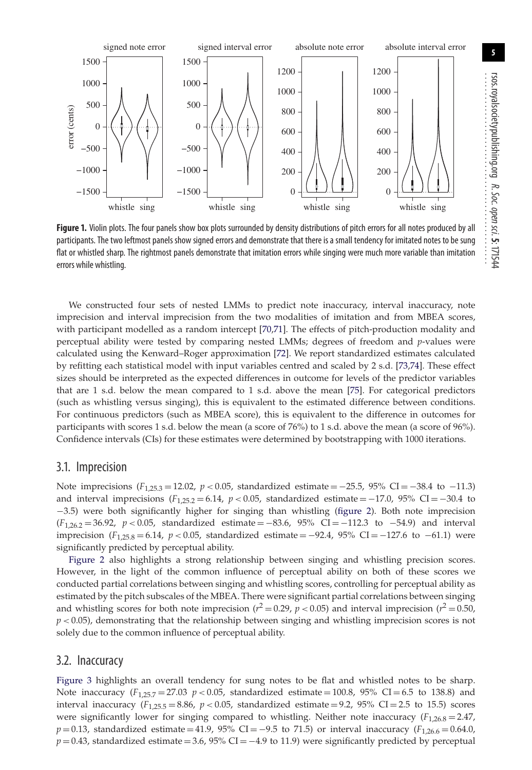

**Figure 1.** Violin plots. The four panels show box plots surrounded by density distributions of pitch errors for all notes produced by all participants. The two leftmost panels show signed errors and demonstrate that there is a small tendency for imitated notes to be sung flat or whistled sharp. The rightmost panels demonstrate that imitation errors while singing were much more variable than imitation errors while whistling.

We constructed four sets of nested LMMs to predict note inaccuracy, interval inaccuracy, note imprecision and interval imprecision from the two modalities of imitation and from MBEA scores, with participant modelled as a random intercept [\[70,](#page-11-35)[71\]](#page-11-36). The effects of pitch-production modality and perceptual ability were tested by comparing nested LMMs; degrees of freedom and *p*-values were calculated using the Kenward–Roger approximation [\[72\]](#page-11-37). We report standardized estimates calculated by refitting each statistical model with input variables centred and scaled by 2 s.d. [\[73,](#page-11-38)[74\]](#page-11-39). These effect sizes should be interpreted as the expected differences in outcome for levels of the predictor variables that are 1 s.d. below the mean compared to 1 s.d. above the mean [\[75\]](#page-11-40). For categorical predictors (such as whistling versus singing), this is equivalent to the estimated difference between conditions. For continuous predictors (such as MBEA score), this is equivalent to the difference in outcomes for participants with scores 1 s.d. below the mean (a score of 76%) to 1 s.d. above the mean (a score of 96%). Confidence intervals (CIs) for these estimates were determined by bootstrapping with 1000 iterations.

#### 3.1. Imprecision

−1500

whistle sing

−1000

−500

error (cents)

error (cents)

0

500

1000

<span id="page-4-0"></span>1500

Note imprecisions  $(F_{1,25,3} = 12.02, p < 0.05,$  standardized estimate =  $-25.5, 95\%$  CI =  $-38.4$  to  $-11.3$ ) and interval imprecisions  $(F_{1,25.2} = 6.14, p < 0.05,$  standardized estimate =  $-17.0, 95\%$  CI =  $-30.4$  to −3.5) were both significantly higher for singing than whistling [\(figure 2\)](#page-5-0). Both note imprecision (*F*1,26.2 = 36.92, *p <* 0.05, standardized estimate = −83.6, 95% CI = −112.3 to −54.9) and interval imprecision ( $F_{1,25.8}$  = 6.14,  $p$  < 0.05, standardized estimate = −92.4, 95% CI = −127.6 to −61.1) were significantly predicted by perceptual ability.

[Figure 2](#page-5-0) also highlights a strong relationship between singing and whistling precision scores. However, in the light of the common influence of perceptual ability on both of these scores we conducted partial correlations between singing and whistling scores, controlling for perceptual ability as estimated by the pitch subscales of the MBEA. There were significant partial correlations between singing and whistling scores for both note imprecision ( $r^2 = 0.29$ ,  $p < 0.05$ ) and interval imprecision ( $r^2 = 0.50$ ,  $p$  < 0.05), demonstrating that the relationship between singing and whistling imprecision scores is not solely due to the common influence of perceptual ability.

#### 3.2. Inaccuracy

[Figure 3](#page-5-1) highlights an overall tendency for sung notes to be flat and whistled notes to be sharp. Note inaccuracy  $(F_{1,25.7} = 27.03 \, p < 0.05)$ , standardized estimate = 100.8, 95% CI = 6.5 to 138.8) and interval inaccuracy  $(F_{1,25.5} = 8.86, p < 0.05,$  standardized estimate = 9.2, 95% CI = 2.5 to 15.5) scores were significantly lower for singing compared to whistling. Neither note inaccuracy  $(F_{1,26.8} = 2.47,$  $p = 0.13$ , standardized estimate = 41.9, 95% CI = −9.5 to 71.5) or interval inaccuracy ( $F_{1,26.6} = 0.64.0$ ,  $p = 0.43$ , standardized estimate = 3.6, 95% CI =  $-4.9$  to 11.9) were significantly predicted by perceptual

R. Soc.

................................................

open

sci.**5**: 171544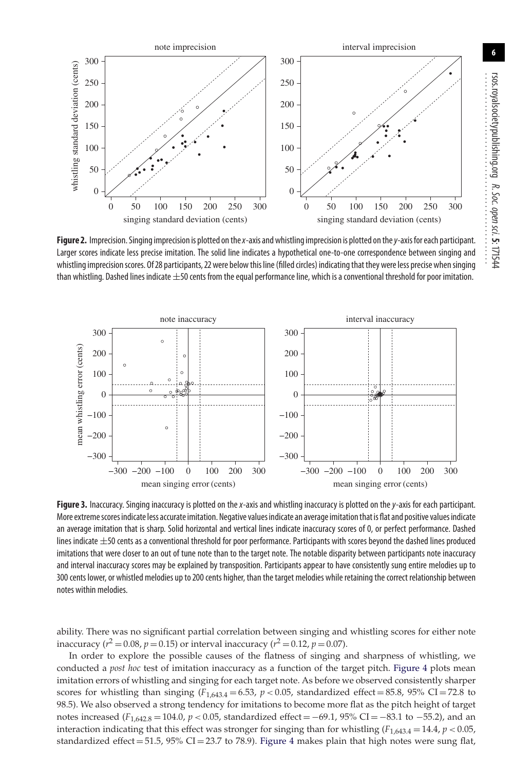<span id="page-5-0"></span>

**Figure 2.** Imprecision. Singing imprecision is plotted on the x-axis and whistling imprecision is plotted on the y-axis for each participant. Larger scores indicate less precise imitation. The solid line indicates a hypothetical one-to-one correspondence between singing and whistling imprecision scores. Of 28 participants, 22 were below this line (filled circles) indicating that they were less precise when singing than whistling. Dashed lines indicate  $\pm$ 50 cents from the equal performance line, which is a conventional threshold for poor imitation.

<span id="page-5-1"></span>

Figure 3. Inaccuracy. Singing inaccuracy is plotted on the x-axis and whistling inaccuracy is plotted on the y-axis for each participant. More extremescores indicate less accurate imitation. Negative values indicate an average imitationthat is flat and positive values indicate an average imitation that is sharp. Solid horizontal and vertical lines indicate inaccuracy scores of 0, or perfect performance. Dashed lines indicate  $\pm$ 50 cents as a conventional threshold for poor performance. Participants with scores beyond the dashed lines produced imitations that were closer to an out of tune note than to the target note. The notable disparity between participants note inaccuracy and interval inaccuracy scores may be explained by transposition. Participants appear to have consistently sung entire melodies up to 300 cents lower, or whistled melodies up to 200 cents higher, than the target melodies while retaining the correct relationship between notes within melodies.

ability. There was no significant partial correlation between singing and whistling scores for either note inaccuracy ( $r^2 = 0.08$ ,  $p = 0.15$ ) or interval inaccuracy ( $r^2 = 0.12$ ,  $p = 0.07$ ).

In order to explore the possible causes of the flatness of singing and sharpness of whistling, we conducted a *post hoc* test of imitation inaccuracy as a function of the target pitch. [Figure 4](#page-6-0) plots mean imitation errors of whistling and singing for each target note. As before we observed consistently sharper scores for whistling than singing  $(F_{1,643.4} = 6.53, p < 0.05,$  standardized effect = 85.8, 95% CI = 72.8 to 98.5). We also observed a strong tendency for imitations to become more flat as the pitch height of target notes increased (*F*<sub>1,642,8</sub> = 104.0, *p* < 0.05, standardized effect = −69.1, 95% CI = −83.1 to −55.2), and an interaction indicating that this effect was stronger for singing than for whistling  $(F_{1,643,4} = 14.4, p < 0.05,$ standardized effect = 51.5,  $95\%$  CI = 23.7 to 78.9). [Figure 4](#page-6-0) makes plain that high notes were sung flat,

................................................

sci.**5**: 171544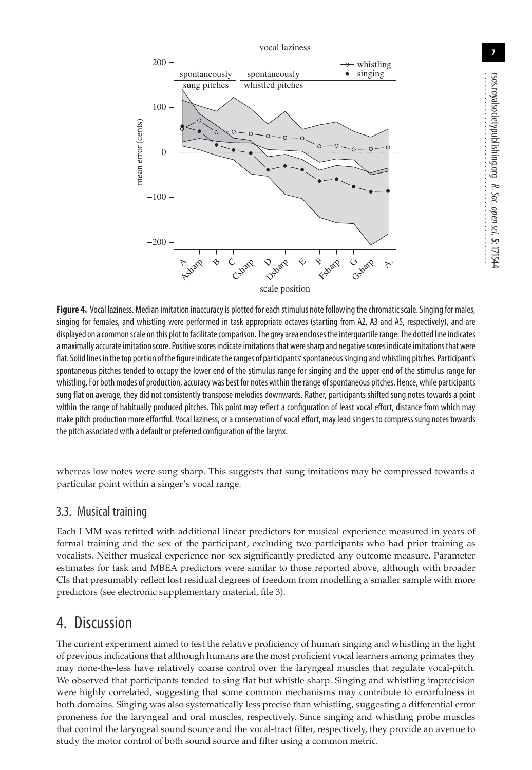<span id="page-6-0"></span>

**Figure 4.** Vocal laziness. Median imitation inaccuracy is plotted for each stimulus note following the chromatic scale. Singing for males, singing for females, and whistling were performed in task appropriate octaves (starting from A2, A3 and A5, respectively), and are displayed on a common scale on this plot to facilitate comparison. The grey area encloses the interquartile range. The dotted line indicates a maximally accurate imitation score. Positive scores indicate imitations that were sharp and negative scores indicate imitations that were flat. Solid lines in the top portion of the figure indicate the ranges of participants' spontaneous singing and whistling pitches. Participant's spontaneous pitches tended to occupy the lower end of the stimulus range for singing and the upper end of the stimulus range for whistling. For both modes of production, accuracy was best for notes within the range ofspontaneous pitches. Hence, while participants sung flat on average, they did not consistently transpose melodies downwards. Rather, participants shifted sung notes towards a point within the range of habitually produced pitches. This point may reflect a configuration of least vocal effort, distance from which may make pitch production more effortful. Vocal laziness, or a conservation of vocal effort, may lead singers to compress sung notes towards the pitch associated with a default or preferred configuration of the larynx.

whereas low notes were sung sharp. This suggests that sung imitations may be compressed towards a particular point within a singer's vocal range.

#### 3.3. Musical training

Each LMM was refitted with additional linear predictors for musical experience measured in years of formal training and the sex of the participant, excluding two participants who had prior training as vocalists. Neither musical experience nor sex significantly predicted any outcome measure. Parameter estimates for task and MBEA predictors were similar to those reported above, although with broader CIs that presumably reflect lost residual degrees of freedom from modelling a smaller sample with more predictors (see electronic supplementary material, file 3).

# 4. Discussion

The current experiment aimed to test the relative proficiency of human singing and whistling in the light of previous indications that although humans are the most proficient vocal learners among primates they may none-the-less have relatively coarse control over the laryngeal muscles that regulate vocal-pitch. We observed that participants tended to sing flat but whistle sharp. Singing and whistling imprecision were highly correlated, suggesting that some common mechanisms may contribute to errorfulness in both domains. Singing was also systematically less precise than whistling, suggesting a differential error proneness for the laryngeal and oral muscles, respectively. Since singing and whistling probe muscles that control the laryngeal sound source and the vocal-tract filter, respectively, they provide an avenue to study the motor control of both sound source and filter using a common metric.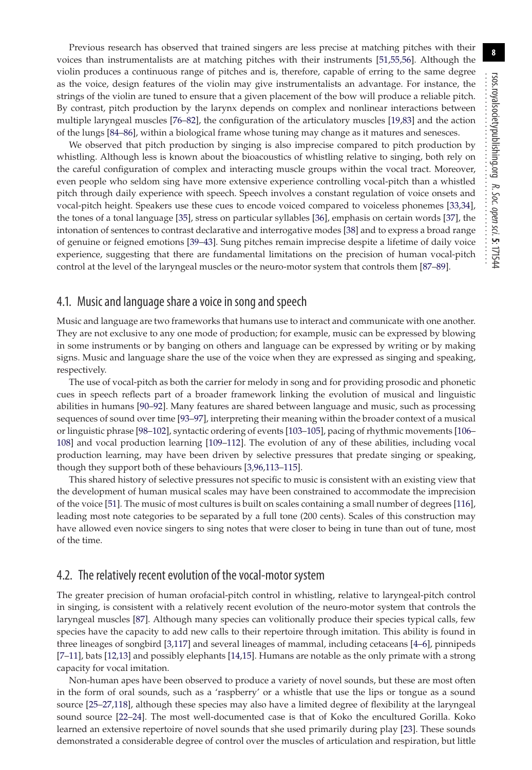Previous research has observed that trained singers are less precise at matching pitches with their voices than instrumentalists are at matching pitches with their instruments [\[51](#page-11-18)[,55,](#page-11-22)[56\]](#page-11-23). Although the violin produces a continuous range of pitches and is, therefore, capable of erring to the same degree as the voice, design features of the violin may give instrumentalists an advantage. For instance, the strings of the violin are tuned to ensure that a given placement of the bow will produce a reliable pitch. By contrast, pitch production by the larynx depends on complex and nonlinear interactions between multiple laryngeal muscles [\[76–](#page-11-41)[82\]](#page-12-0), the configuration of the articulatory muscles [\[19,](#page-10-14)[83\]](#page-12-1) and the action of the lungs [\[84](#page-12-2)[–86\]](#page-12-3), within a biological frame whose tuning may change as it matures and senesces.

We observed that pitch production by singing is also imprecise compared to pitch production by whistling. Although less is known about the bioacoustics of whistling relative to singing, both rely on the careful configuration of complex and interacting muscle groups within the vocal tract. Moreover, even people who seldom sing have more extensive experience controlling vocal-pitch than a whistled pitch through daily experience with speech. Speech involves a constant regulation of voice onsets and vocal-pitch height. Speakers use these cues to encode voiced compared to voiceless phonemes [\[33](#page-11-3)[,34\]](#page-11-4), the tones of a tonal language [\[35\]](#page-11-5), stress on particular syllables [\[36\]](#page-11-6), emphasis on certain words [\[37\]](#page-11-7), the intonation of sentences to contrast declarative and interrogative modes [\[38\]](#page-11-8) and to express a broad range of genuine or feigned emotions [\[39](#page-11-9)[–43\]](#page-11-10). Sung pitches remain imprecise despite a lifetime of daily voice experience, suggesting that there are fundamental limitations on the precision of human vocal-pitch control at the level of the laryngeal muscles or the neuro-motor system that controls them [\[87](#page-12-4)[–89\]](#page-12-5).

#### 4.1. Music and language share a voice in song and speech

Music and language are two frameworks that humans use to interact and communicate with one another. They are not exclusive to any one mode of production; for example, music can be expressed by blowing in some instruments or by banging on others and language can be expressed by writing or by making signs. Music and language share the use of the voice when they are expressed as singing and speaking, respectively.

The use of vocal-pitch as both the carrier for melody in song and for providing prosodic and phonetic cues in speech reflects part of a broader framework linking the evolution of musical and linguistic abilities in humans [\[90–](#page-12-6)[92\]](#page-12-7). Many features are shared between language and music, such as processing sequences of sound over time [\[93–](#page-12-8)[97\]](#page-12-9), interpreting their meaning within the broader context of a musical or linguistic phrase [\[98–](#page-12-10)[102\]](#page-12-11), syntactic ordering of events [\[103–](#page-12-12)[105\]](#page-12-13), pacing of rhythmic movements [\[106–](#page-12-14) [108\]](#page-12-15) and vocal production learning [\[109](#page-12-16)[–112\]](#page-12-17). The evolution of any of these abilities, including vocal production learning, may have been driven by selective pressures that predate singing or speaking, though they support both of these behaviours [\[3](#page-10-2)[,96,](#page-12-18)[113](#page-12-19)[–115\]](#page-12-20).

This shared history of selective pressures not specific to music is consistent with an existing view that the development of human musical scales may have been constrained to accommodate the imprecision of the voice [\[51\]](#page-11-18). The music of most cultures is built on scales containing a small number of degrees [\[116\]](#page-12-21), leading most note categories to be separated by a full tone (200 cents). Scales of this construction may have allowed even novice singers to sing notes that were closer to being in tune than out of tune, most of the time.

#### 4.2. The relatively recent evolution of the vocal-motor system

The greater precision of human orofacial-pitch control in whistling, relative to laryngeal-pitch control in singing, is consistent with a relatively recent evolution of the neuro-motor system that controls the laryngeal muscles [\[87\]](#page-12-4). Although many species can volitionally produce their species typical calls, few species have the capacity to add new calls to their repertoire through imitation. This ability is found in three lineages of songbird [\[3](#page-10-2)[,117\]](#page-12-22) and several lineages of mammal, including cetaceans [\[4–](#page-10-3)[6\]](#page-10-4), pinnipeds [\[7](#page-10-5)[–11\]](#page-10-6), bats [\[12,](#page-10-7)[13\]](#page-10-8) and possibly elephants [\[14,](#page-10-9)[15\]](#page-10-10). Humans are notable as the only primate with a strong capacity for vocal imitation.

Non-human apes have been observed to produce a variety of novel sounds, but these are most often in the form of oral sounds, such as a 'raspberry' or a whistle that use the lips or tongue as a sound source [\[25–](#page-10-18)[27,](#page-10-19)[118\]](#page-12-23), although these species may also have a limited degree of flexibility at the laryngeal sound source [\[22–](#page-10-16)[24\]](#page-10-17). The most well-documented case is that of Koko the encultured Gorilla. Koko learned an extensive repertoire of novel sounds that she used primarily during play [\[23\]](#page-10-21). These sounds demonstrated a considerable degree of control over the muscles of articulation and respiration, but little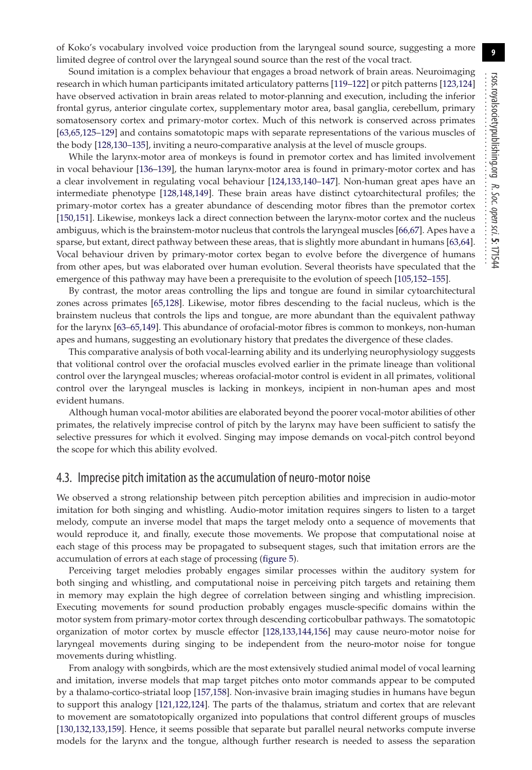**9**

Sound imitation is a complex behaviour that engages a broad network of brain areas. Neuroimaging research in which human participants imitated articulatory patterns [\[119–](#page-12-24)[122\]](#page-12-25) or pitch patterns [\[123,](#page-12-26)[124\]](#page-12-27) have observed activation in brain areas related to motor-planning and execution, including the inferior frontal gyrus, anterior cingulate cortex, supplementary motor area, basal ganglia, cerebellum, primary somatosensory cortex and primary-motor cortex. Much of this network is conserved across primates [\[63](#page-11-28)[,65,](#page-11-30)[125](#page-12-28)[–129\]](#page-12-29) and contains somatotopic maps with separate representations of the various muscles of the body [\[128](#page-12-30)[,130](#page-12-31)[–135\]](#page-13-0), inviting a neuro-comparative analysis at the level of muscle groups.

While the larynx-motor area of monkeys is found in premotor cortex and has limited involvement in vocal behaviour [\[136–](#page-13-1)[139\]](#page-13-2), the human larynx-motor area is found in primary-motor cortex and has a clear involvement in regulating vocal behaviour [\[124](#page-12-27)[,133](#page-13-3)[,140](#page-13-4)[–147\]](#page-13-5). Non-human great apes have an intermediate phenotype [\[128,](#page-12-30)[148](#page-13-6)[,149\]](#page-13-7). These brain areas have distinct cytoarchitectural profiles; the primary-motor cortex has a greater abundance of descending motor fibres than the premotor cortex [\[150](#page-13-8)[,151\]](#page-13-9). Likewise, monkeys lack a direct connection between the larynx-motor cortex and the nucleus ambiguus, which is the brainstem-motor nucleus that controls the laryngeal muscles [\[66,](#page-11-31)[67\]](#page-11-32). Apes have a sparse, but extant, direct pathway between these areas, that is slightly more abundant in humans [\[63](#page-11-28)[,64\]](#page-11-29). Vocal behaviour driven by primary-motor cortex began to evolve before the divergence of humans from other apes, but was elaborated over human evolution. Several theorists have speculated that the emergence of this pathway may have been a prerequisite to the evolution of speech [\[105,](#page-12-13)[152–](#page-13-10)[155\]](#page-13-11).

By contrast, the motor areas controlling the lips and tongue are found in similar cytoarchitectural zones across primates [\[65](#page-11-30)[,128\]](#page-12-30). Likewise, motor fibres descending to the facial nucleus, which is the brainstem nucleus that controls the lips and tongue, are more abundant than the equivalent pathway for the larynx [\[63–](#page-11-28)[65](#page-11-30)[,149\]](#page-13-7). This abundance of orofacial-motor fibres is common to monkeys, non-human apes and humans, suggesting an evolutionary history that predates the divergence of these clades.

This comparative analysis of both vocal-learning ability and its underlying neurophysiology suggests that volitional control over the orofacial muscles evolved earlier in the primate lineage than volitional control over the laryngeal muscles; whereas orofacial-motor control is evident in all primates, volitional control over the laryngeal muscles is lacking in monkeys, incipient in non-human apes and most evident humans.

Although human vocal-motor abilities are elaborated beyond the poorer vocal-motor abilities of other primates, the relatively imprecise control of pitch by the larynx may have been sufficient to satisfy the selective pressures for which it evolved. Singing may impose demands on vocal-pitch control beyond the scope for which this ability evolved.

#### 4.3. Imprecise pitch imitation as the accumulation of neuro-motor noise

We observed a strong relationship between pitch perception abilities and imprecision in audio-motor imitation for both singing and whistling. Audio-motor imitation requires singers to listen to a target melody, compute an inverse model that maps the target melody onto a sequence of movements that would reproduce it, and finally, execute those movements. We propose that computational noise at each stage of this process may be propagated to subsequent stages, such that imitation errors are the accumulation of errors at each stage of processing [\(figure 5\)](#page-9-0).

Perceiving target melodies probably engages similar processes within the auditory system for both singing and whistling, and computational noise in perceiving pitch targets and retaining them in memory may explain the high degree of correlation between singing and whistling imprecision. Executing movements for sound production probably engages muscle-specific domains within the motor system from primary-motor cortex through descending corticobulbar pathways. The somatotopic organization of motor cortex by muscle effector [\[128](#page-12-30)[,133](#page-13-3)[,144,](#page-13-12)[156\]](#page-13-13) may cause neuro-motor noise for laryngeal movements during singing to be independent from the neuro-motor noise for tongue movements during whistling.

From analogy with songbirds, which are the most extensively studied animal model of vocal learning and imitation, inverse models that map target pitches onto motor commands appear to be computed by a thalamo-cortico-striatal loop [\[157,](#page-13-14)[158\]](#page-13-15). Non-invasive brain imaging studies in humans have begun to support this analogy [\[121,](#page-12-32)[122](#page-12-25)[,124\]](#page-12-27). The parts of the thalamus, striatum and cortex that are relevant to movement are somatotopically organized into populations that control different groups of muscles [\[130](#page-12-31)[,132,](#page-13-16)[133,](#page-13-3)[159\]](#page-13-17). Hence, it seems possible that separate but parallel neural networks compute inverse models for the larynx and the tongue, although further research is needed to assess the separation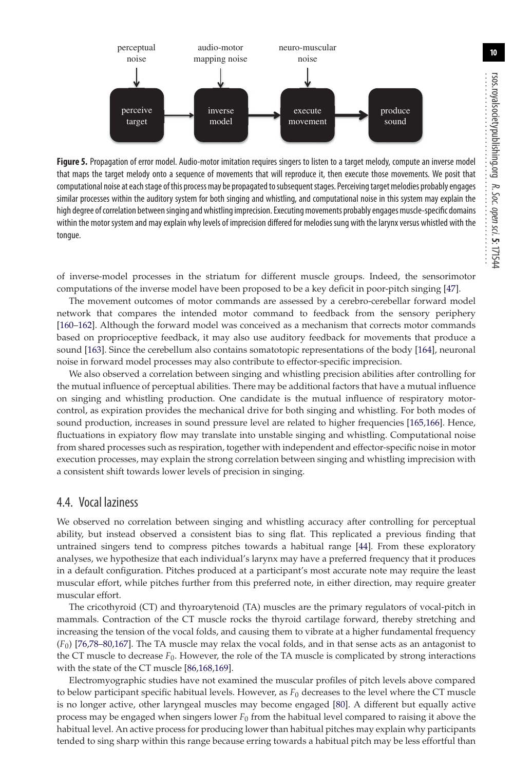<span id="page-9-0"></span>

Figure 5. Propagation of error model. Audio-motor imitation requires singers to listen to a target melody, compute an inverse model that maps the target melody onto a sequence of movements that will reproduce it, then execute those movements. We posit that computational noise at each stage of this process may be propagated to subsequent stages. Perceiving target melodies probably engages similar processes within the auditory system for both singing and whistling, and computational noise in this system may explain the high degree of correlation betweensinging and whistling imprecision. Executing movements probably engages muscle-specific domains within the motor system and may explain why levels of imprecision differed for melodies sung with the larynx versus whistled with the tongue.

of inverse-model processes in the striatum for different muscle groups. Indeed, the sensorimotor computations of the inverse model have been proposed to be a key deficit in poor-pitch singing [\[47\]](#page-11-13).

The movement outcomes of motor commands are assessed by a cerebro-cerebellar forward model network that compares the intended motor command to feedback from the sensory periphery [\[160–](#page-13-18)[162\]](#page-13-19). Although the forward model was conceived as a mechanism that corrects motor commands based on proprioceptive feedback, it may also use auditory feedback for movements that produce a sound [\[163\]](#page-13-20). Since the cerebellum also contains somatotopic representations of the body [\[164\]](#page-13-21), neuronal noise in forward model processes may also contribute to effector-specific imprecision.

We also observed a correlation between singing and whistling precision abilities after controlling for the mutual influence of perceptual abilities. There may be additional factors that have a mutual influence on singing and whistling production. One candidate is the mutual influence of respiratory motorcontrol, as expiration provides the mechanical drive for both singing and whistling. For both modes of sound production, increases in sound pressure level are related to higher frequencies [\[165,](#page-13-22)[166\]](#page-13-23). Hence, fluctuations in expiatory flow may translate into unstable singing and whistling. Computational noise from shared processes such as respiration, together with independent and effector-specific noise in motor execution processes, may explain the strong correlation between singing and whistling imprecision with a consistent shift towards lower levels of precision in singing.

#### 4.4. Vocal laziness

We observed no correlation between singing and whistling accuracy after controlling for perceptual ability, but instead observed a consistent bias to sing flat. This replicated a previous finding that untrained singers tend to compress pitches towards a habitual range [\[44\]](#page-11-11). From these exploratory analyses, we hypothesize that each individual's larynx may have a preferred frequency that it produces in a default configuration. Pitches produced at a participant's most accurate note may require the least muscular effort, while pitches further from this preferred note, in either direction, may require greater muscular effort.

The cricothyroid (CT) and thyroarytenoid (TA) muscles are the primary regulators of vocal-pitch in mammals. Contraction of the CT muscle rocks the thyroid cartilage forward, thereby stretching and increasing the tension of the vocal folds, and causing them to vibrate at a higher fundamental frequency (*F*0) [\[76](#page-11-41)[,78–](#page-11-42)[80](#page-12-33)[,167\]](#page-13-24). The TA muscle may relax the vocal folds, and in that sense acts as an antagonist to the CT muscle to decrease *F*0. However, the role of the TA muscle is complicated by strong interactions with the state of the CT muscle [\[86,](#page-12-3)[168](#page-13-25)[,169\]](#page-13-26).

Electromyographic studies have not examined the muscular profiles of pitch levels above compared to below participant specific habitual levels. However, as  $F_0$  decreases to the level where the CT muscle is no longer active, other laryngeal muscles may become engaged [\[80\]](#page-12-33). A different but equally active process may be engaged when singers lower *F*<sup>0</sup> from the habitual level compared to raising it above the habitual level. An active process for producing lower than habitual pitches may explain why participants tended to sing sharp within this range because erring towards a habitual pitch may be less effortful than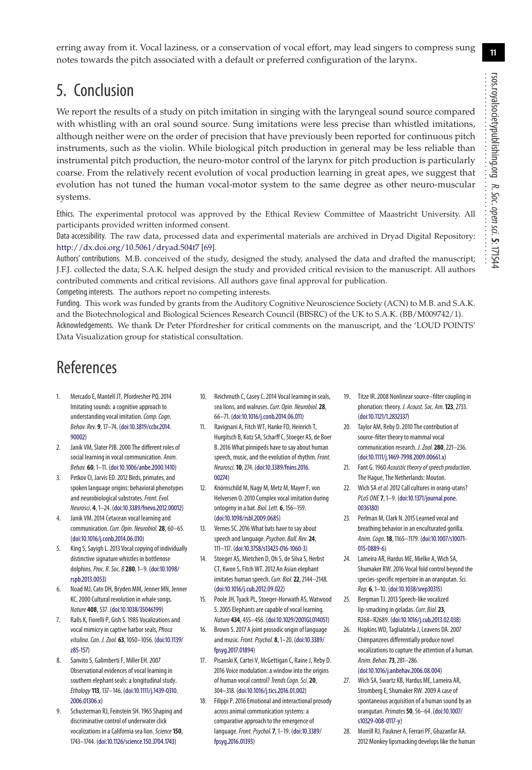**11**

erring away from it. Vocal laziness, or a conservation of vocal effort, may lead singers to compress sung notes towards the pitch associated with a default or preferred configuration of the larynx.

## 5. Conclusion

We report the results of a study on pitch imitation in singing with the laryngeal sound source compared with whistling with an oral sound source. Sung imitations were less precise than whistled imitations, although neither were on the order of precision that have previously been reported for continuous pitch instruments, such as the violin. While biological pitch production in general may be less reliable than instrumental pitch production, the neuro-motor control of the larynx for pitch production is particularly coarse. From the relatively recent evolution of vocal production learning in great apes, we suggest that evolution has not tuned the human vocal-motor system to the same degree as other neuro-muscular systems.

Ethics. The experimental protocol was approved by the Ethical Review Committee of Maastricht University. All participants provided written informed consent.

Data accessibility. The raw data, processed data and experimental materials are archived in Dryad Digital Repository: <http://dx.doi.org/10.5061/dryad.504t7> [\[69\]](#page-11-34).

Authors' contributions. M.B. conceived of the study, designed the study, analysed the data and drafted the manuscript; J.F.J. collected the data; S.A.K. helped design the study and provided critical revision to the manuscript. All authors contributed comments and critical revisions. All authors gave final approval for publication.

Competing interests. The authors report no competing interests.

Funding. This work was funded by grants from the Auditory Cognitive Neuroscience Society (ACN) to M.B. and S.A.K. and the Biotechnological and Biological Sciences Research Council (BBSRC) of the UK to S.A.K. (BB/M009742/1). Acknowledgements. We thank Dr Peter Pfordresher for critical comments on the manuscript, and the 'LOUD POINTS' Data Visualization group for statistical consultation.

### References

- <span id="page-10-0"></span>1. Mercado E, Mantell JT, Pfordresher PQ. 2014 Imitating sounds: a cognitive approach to understanding vocal imitation. Comp. Cogn. Behav. Rev. **9**, 17–74. [\(doi:10.3819/ccbr.2014.](http://dx.doi.org/10.3819/ccbr.2014.90002) [90002\)](http://dx.doi.org/10.3819/ccbr.2014.90002)
- <span id="page-10-1"></span>2. Janik VM, Slater PJB. 2000 The different roles of social learning in vocal communication. Anim. Behav. **60**, 1–11. [\(doi:10.1006/anbe.2000.1410\)](http://dx.doi.org/10.1006/anbe.2000.1410)
- <span id="page-10-2"></span>3. Petkov CI, Jarvis ED. 2012 Birds, primates, and spoken language origins: behavioral phenotypes and neurobiological substrates. Front. Evol. Neurosci. **4**, 1–24. [\(doi:10.3389/fnevo.2012.00012\)](http://dx.doi.org/10.3389/fnevo.2012.00012)
- <span id="page-10-3"></span>Janik VM. 2014 Cetacean vocal learning and communication. Curr. Opin. Neurobiol. 28, 60-65. [\(doi:10.1016/j.conb.2014.06.010\)](http://dx.doi.org/10.1016/j.conb.2014.06.010)
- King S, Sayigh L. 2013 Vocal copying of individually distinctive signature whistles in bottlenose dolphins.Proc. R. Soc. B **280**, 1–9. [\(doi:10.1098/](http://dx.doi.org/10.1098/rspb.2013.0053) [rspb.2013.0053\)](http://dx.doi.org/10.1098/rspb.2013.0053)
- <span id="page-10-4"></span>6. Noad MJ, Cato DH, Bryden MM, Jenner MN, Jenner KC. 2000 Cultural revolution in whale songs. Nature **408**, 537. [\(doi:10.1038/35046199\)](http://dx.doi.org/10.1038/35046199)
- <span id="page-10-5"></span>7. Ralls K, Fiorelli P, Gish S. 1985 Vocalizations and vocal mimicry in captive harbor seals, *Phoca* vitulina.Can. J. Zool. **63**, 1050–1056. [\(doi:10.1139/](http://dx.doi.org/10.1139/z85-157) [z85-157\)](http://dx.doi.org/10.1139/z85-157)
- 8. Sanvito S, Galimberti F, Miller EH. 2007 Observational evidences of vocal learning in southern elephant seals: a longitudinal study. Ethology **113**, 137–146. [\(doi:10.1111/j.1439-0310.](http://dx.doi.org/10.1111/j.1439-0310.2006.01306.x) [2006.01306.x\)](http://dx.doi.org/10.1111/j.1439-0310.2006.01306.x)
- Schusterman RJ, Feinstein SH. 1965 Shaping and discriminative control of underwater click vocalizations in a California sea lion. Science 150, 1743–1744. [\(doi:10.1126/science.150.3704.1743\)](http://dx.doi.org/10.1126/science.150.3704.1743)
- 10. Reichmuth C, Casey C. 2014 Vocal learning in seals, sea lions, and walruses. Curr. Opin. Neurobiol. 28, 66–71. [\(doi:10.1016/j.conb.2014.06.011\)](http://dx.doi.org/10.1016/j.conb.2014.06.011)
- <span id="page-10-6"></span>11. Ravignani A, Fitch WT, Hanke FD, Heinrich T, Hurgitsch B, Kotz SA, Scharff C, Stoeger AS, de Boer B. 2016 What pinnipeds have to say about human speech, music, and the evolution of rhythm. Front. Neurosci.**10**, 274. [\(doi:10.3389/fnins.2016.](http://dx.doi.org/10.3389/fnins.2016.00274) [00274\)](http://dx.doi.org/10.3389/fnins.2016.00274)
- <span id="page-10-7"></span>12. Knörnschild M, Nagy M, Metz M, Mayer F, von Helversen O. 2010 Complex vocal imitation during ontogeny in a bat. Biol. Lett. **6**, 156–159. [\(doi:10.1098/rsbl.2009.0685\)](http://dx.doi.org/10.1098/rsbl.2009.0685)
- <span id="page-10-8"></span>13. Vernes SC. 2016 What bats have to say about speech and language.Psychon. Bull. Rev.**24**, 111–117. [\(doi:10.3758/s13423-016-1060-3\)](http://dx.doi.org/10.3758/s13423-016-1060-3)
- <span id="page-10-9"></span>14. Stoeger AS, Mietchen D, Oh S, de Silva S, Herbst CT, Kwon S, Fitch WT. 2012 An Asian elephant imitates human speech. Curr. Biol. 22, 2144-2148. [\(doi:10.1016/j.cub.2012.09.022\)](http://dx.doi.org/10.1016/j.cub.2012.09.022)
- <span id="page-10-10"></span>15. Poole JH, Tyack PL, Stoeger-Horwath AS, Watwood S. 2005 Elephants are capable of vocal learning. Nature **434**, 455–456. [\(doi:10.1029/2001GL014051\)](http://dx.doi.org/10.1029/2001GL014051)
- <span id="page-10-11"></span>16. Brown S. 2017 A joint prosodic origin of language and music.Front. Psychol. **8**, 1–20. [\(doi:10.3389/](http://dx.doi.org/10.3389/fpsyg.2017.01894) [fpsyg.2017.01894\)](http://dx.doi.org/10.3389/fpsyg.2017.01894)
- <span id="page-10-12"></span>17. Pisanski K, Cartei V, McGettigan C, Raine J, Reby D. 2016 Voice modulation: a window into the origins of human vocal control?Trends Cogn. Sci.**20**, 304–318. [\(doi:10.1016/j.tics.2016.01.002\)](http://dx.doi.org/10.1016/j.tics.2016.01.002)
- <span id="page-10-13"></span>18. Filippi P. 2016 Emotional and interactional prosody across animal communication systems: a comparative approach to the emergence of language.Front. Psychol.**7**, 1–19. [\(doi:10.3389/](http://dx.doi.org/10.3389/fpsyg.2016.01393) [fpsyg.2016.01393\)](http://dx.doi.org/10.3389/fpsyg.2016.01393)
- <span id="page-10-14"></span>19. Titze IR. 2008 Nonlinear source–filter coupling in phonation: theory. J. Acoust. Soc. Am.**123**, 2733. [\(doi:10.1121/1.2832337\)](http://dx.doi.org/10.1121/1.2832337)
- 20. Taylor AM, Reby D. 2010 The contribution of source-filter theory to mammal vocal communication research. J. Zool.**280**, 221–236. [\(doi:10.1111/j.1469-7998.2009.00661.x\)](http://dx.doi.org/10.1111/j.1469-7998.2009.00661.x)
- <span id="page-10-15"></span>21. Fant G. 1960 Acoustic theory of speech production. The Hague, The Netherlands: Mouton.
- <span id="page-10-16"></span>22. Wich SA et al. 2012 Call cultures in orang-utans? PLoS ONE **7**, 1–9. [\(doi:10.1371/journal.pone.](http://dx.doi.org/10.1371/journal.pone.0036180) [0036180\)](http://dx.doi.org/10.1371/journal.pone.0036180)
- <span id="page-10-21"></span>23. Perlman M, Clark N. 2015 Learned vocal and breathing behavior in an enculturated gorilla. Anim. Cogn.**18**, 1165–1179. [\(doi:10.1007/s10071-](http://dx.doi.org/10.1007/s10071-015-0889-6) [015-0889-6\)](http://dx.doi.org/10.1007/s10071-015-0889-6)
- <span id="page-10-17"></span>24. Lameira AR, Hardus ME, Mielke A, Wich SA, Shumaker RW. 2016 Vocal fold control beyond the species-specific repertoire in an orangutan. Sci. Rep. **6**, 1–10. [\(doi:10.1038/srep30315\)](http://dx.doi.org/10.1038/srep30315)
- <span id="page-10-18"></span>25. Bergman TJ. 2013 Speech-like vocalized lip-smacking in geladas. Curr. Biol. 23, R268–R2689. [\(doi:10.1016/j.cub.2013.02.038\)](http://dx.doi.org/10.1016/j.cub.2013.02.038)
- 26. Hopkins WD, Taglialatela J, Leavens DA. 2007 Chimpanzees differentially produce novel vocalizations to capture the attention of a human. Anim. Behav.**73**, 281–286. [\(doi:10.1016/j.anbehav.2006.08.004\)](http://dx.doi.org/10.1016/j.anbehav.2006.08.004)
- <span id="page-10-19"></span>27. Wich SA, Swartz KB, Hardus ME, Lameira AR, Stromberg E, Shumaker RW. 2009 A case of spontaneous acquisition of a human sound by an orangutan.Primates**50**, 56–64. [\(doi:10.1007/](http://dx.doi.org/10.1007/s10329-008-0117-y) [s10329-008-0117-y\)](http://dx.doi.org/10.1007/s10329-008-0117-y)
- <span id="page-10-20"></span>28. Morrill RJ, Paukner A, Ferrari PF, Ghazanfar AA. 2012 Monkey lipsmacking develops like the human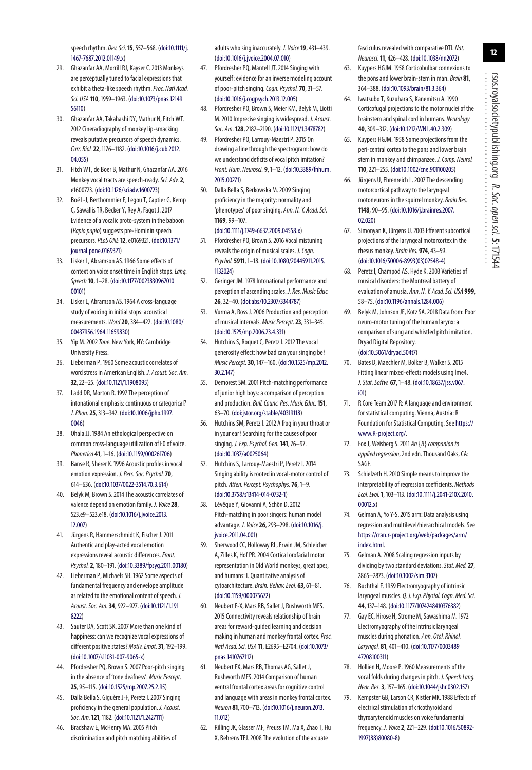speech rhythm. Dev. Sci.**15**, 557–568. [\(doi:10.1111/j.](http://dx.doi.org/10.1111/j.1467-7687.2012.01149.x) [1467-7687.2012.01149.x\)](http://dx.doi.org/10.1111/j.1467-7687.2012.01149.x)

- 29. Ghazanfar AA, Morrill RJ, Kayser C. 2013 Monkeys are perceptually tuned to facial expressions that exhibit a theta-like speech rhythm. Proc. Natl Acad. Sci. USA **110**, 1959–1963. [\(doi:10.1073/pnas.12149](http://dx.doi.org/10.1073/pnas.1214956110) [56110\)](http://dx.doi.org/10.1073/pnas.1214956110)
- <span id="page-11-0"></span>30. Ghazanfar AA, Takahashi DY, Mathur N, Fitch WT. 2012 Cineradiography of monkey lip-smacking reveals putative precursors of speech dynamics. Curr. Biol.**22**, 1176–1182. [\(doi:10.1016/j.cub.2012.](http://dx.doi.org/10.1016/j.cub.2012.04.055) [04.055\)](http://dx.doi.org/10.1016/j.cub.2012.04.055)
- <span id="page-11-1"></span>31. Fitch WT, de Boer B, Mathur N, Ghazanfar AA. 2016 Monkey vocal tracts are speech-ready.Sci. Adv.**2**, e1600723. [\(doi:10.1126/sciadv.1600723\)](http://dx.doi.org/10.1126/sciadv.1600723)
- <span id="page-11-2"></span>32. Boë L-J, Berthommier F, Legou T, Captier G, Kemp C, Sawallis TR, Becker Y, Rey A, Fagot J. 2017 Evidence of a vocalic proto-system in the baboon (Papio papio) suggests pre-Hominin speech precursors.PLoS ONE **12**, e0169321. [\(doi:10.1371/](http://dx.doi.org/10.1371/journal.pone.0169321) [journal.pone.0169321\)](http://dx.doi.org/10.1371/journal.pone.0169321)
- <span id="page-11-3"></span>33. Lisker L, Abramson AS. 1966 Some effects of context on voice onset time in English stops. Lang. Speech**10**, 1–28. [\(doi:10.1177/0023830967010](http://dx.doi.org/10.1177/002383096701000101) [00101\)](http://dx.doi.org/10.1177/002383096701000101)
- <span id="page-11-4"></span>34. Lisker L, Abramson AS. 1964 A cross-language study of voicing in initial stops: acoustical measurements.Word**20**, 384–422. [\(doi:10.1080/](http://dx.doi.org/10.1080/00437956.1964.11659830) [00437956.1964.11659830\)](http://dx.doi.org/10.1080/00437956.1964.11659830)
- <span id="page-11-5"></span>35. Yip M. 2002 Tone. New York, NY: Cambridge University Press.
- <span id="page-11-6"></span>36. Lieberman P. 1960 Some acoustic correlates of word stress in American English. J. Acoust. Soc. Am. **32**, 22–25. [\(doi:10.1121/1.1908095\)](http://dx.doi.org/10.1121/1.1908095)
- <span id="page-11-7"></span>37. Ladd DR, Morton R. 1997 The perception of intonational emphasis: continuous or categorical? J. Phon.**25**, 313–342. [\(doi:10.1006/jpho.1997.](http://dx.doi.org/10.1006/jpho.1997.0046) [0046\)](http://dx.doi.org/10.1006/jpho.1997.0046)
- <span id="page-11-8"></span>38. Ohala JJ. 1984 An ethological perspective on common cross-language utilization of F0 of voice. Phonetica **41**, 1–16. [\(doi:10.1159/000261706\)](http://dx.doi.org/10.1159/000261706)
- <span id="page-11-9"></span>39. Banse R, Sherer K. 1996 Acoustic profiles in vocal emotion expression. J. Pers. Soc. Psychol.**70**, 614–636. [\(doi:10.1037/0022-3514.70.3.614\)](http://dx.doi.org/10.1037/0022-3514.70.3.614)
- 40. Belyk M, Brown S. 2014 The acoustic correlates of valence depend on emotion family. J. Voice**28**, 523.e9–523.e18. [\(doi:10.1016/j.jvoice.2013.](http://dx.doi.org/10.1016/j.jvoice.2013.12.007) [12.007\)](http://dx.doi.org/10.1016/j.jvoice.2013.12.007)
- 41. Jürgens R, Hammerschmidt K, Fischer J. 2011 Authentic and play-acted vocal emotion expressions reveal acoustic differences. Front. Psychol.**2**, 180–191. [\(doi:10.3389/fpsyg.2011.00180\)](http://dx.doi.org/10.3389/fpsyg.2011.00180)
- 42. Lieberman P, Michaels SB. 1962 Some aspects of fundamental frequency and envelope amplitude as related to the emotional content of speech. J. Acoust. Soc. Am.**34**, 922–927. [\(doi:10.1121/1.191](http://dx.doi.org/10.1121/1.1918222) 82221
- <span id="page-11-10"></span>43. Sauter DA, Scott SK. 2007 More than one kind of happiness: can we recognize vocal expressions of different positive states? Motiv. Emot.**31**, 192–199. [\(doi:10.1007/s11031-007-9065-x\)](http://dx.doi.org/10.1007/s11031-007-9065-x)
- <span id="page-11-11"></span>44. Pfordresher PQ, Brown S. 2007 Poor-pitch singing in the absence of 'tone deafness'. Music Percept. **25**, 95–115. [\(doi:10.1525/mp.2007.25.2.95\)](http://dx.doi.org/10.1525/mp.2007.25.2.95)
- <span id="page-11-15"></span>45. Dalla Bella S, Giguère J-F, Peretz I. 2007 Singing proficiency in the general population. J. Acoust. Soc. Am.**121**, 1182. [\(doi:10.1121/1.2427111\)](http://dx.doi.org/10.1121/1.2427111)
- <span id="page-11-12"></span>46. Bradshaw E, McHenry MA. 2005 Pitch discrimination and pitch matching abilities of

adults who sing inaccurately. J. Voice**19**, 431–439. [\(doi:10.1016/j.jvoice.2004.07.010\)](http://dx.doi.org/10.1016/j.jvoice.2004.07.010)

- <span id="page-11-13"></span>47. Pfordresher PQ, Mantell JT. 2014 Singing with yourself: evidence for an inverse modeling account of poor-pitch singing.Cogn. Psychol.**70**, 31–57. [\(doi:10.1016/j.cogpsych.2013.12.005\)](http://dx.doi.org/10.1016/j.cogpsych.2013.12.005)
- <span id="page-11-14"></span>48. Pfordresher PQ, Brown S, Meier KM, Belyk M, Liotti M. 2010 Imprecise singing is widespread. J. Acoust. Soc. Am.**128**, 2182–2190. [\(doi:10.1121/1.3478782\)](http://dx.doi.org/10.1121/1.3478782)
- <span id="page-11-16"></span>49. Pfordresher PQ, Larrouy-Maestri P. 2015 On drawing a line through the spectrogram: how do we understand deficits of vocal pitch imitation? Front. Hum. Neurosci. **9**, 1–12. [\(doi:10.3389/fnhum.](http://dx.doi.org/10.3389/fnhum.2015.00271) [2015.00271\)](http://dx.doi.org/10.3389/fnhum.2015.00271)
- <span id="page-11-17"></span>50. Dalla Bella S, Berkowska M. 2009 Singing proficiency in the majority: normality and 'phenotypes' of poor singing. Ann. N. Y. Acad. Sci. **1169**, 99–107. [\(doi:10.1111/j.1749-6632.2009.04558.x\)](http://dx.doi.org/10.1111/j.1749-6632.2009.04558.x)
- <span id="page-11-18"></span>51. Pfordresher PQ, Brown S. 2016 Vocal mistuning reveals the origin of musical scales. J. Cogn. Psychol.**5911**, 1–18. [\(doi:10.1080/20445911.2015.](http://dx.doi.org/10.1080/20445911.2015.1132024) [1132024\)](http://dx.doi.org/10.1080/20445911.2015.1132024)
- <span id="page-11-19"></span>52. Geringer JM. 1978 Intonational performance and perception of ascending scales. J. Res. Music Educ. **26**, 32–40. [\(doi:abs/10.2307/3344787\)](http://dx.doi.org/abs/10.2307/3344787)
- <span id="page-11-20"></span>53. Vurma A, Ross J. 2006 Production and perception of musical intervals. Music Percept.**23**, 331–345. [\(doi:10.1525/mp.2006.23.4.331\)](http://dx.doi.org/10.1525/mp.2006.23.4.331)
- <span id="page-11-21"></span>54. Hutchins S, Roquet C, Peretz I. 2012 The vocal generosity effect: how bad can your singing be? Music Percept.**30**, 147–160. [\(doi:10.1525/mp.2012.](http://dx.doi.org/10.1525/mp.2012.30.2.147) [30.2.147\)](http://dx.doi.org/10.1525/mp.2012.30.2.147)
- <span id="page-11-22"></span>55. Demorest SM. 2001 Pitch-matching performance of junior high boys: a comparison of perception and production. Bull. Counc. Res. Music Educ.**151**, 63–70. [\(doi:jstor.org/stable/40319118\)](http://dx.doi.org/jstor.org/stable/40319118)
- <span id="page-11-23"></span>56. Hutchins SM, Peretz I. 2012 A frog in your throat or in your ear? Searching for the causes of poor singing. J. Exp. Psychol. Gen.**141**, 76–97. [\(doi:10.1037/a0025064\)](http://dx.doi.org/10.1037/a0025064)
- <span id="page-11-24"></span>57. Hutchins S, Larrouy-Maestri P, Peretz I. 2014 Singing ability is rooted in vocal-motor control of pitch. Atten. Percept. Psychophys.**76**, 1–9. [\(doi:10.3758/s13414-014-0732-1\)](http://dx.doi.org/10.3758/s13414-014-0732-1)
- <span id="page-11-25"></span>58. Lévêque Y, Giovanni A, Schön D. 2012 Pitch-matching in poor singers: human model advantage. J. Voice**26**, 293–298. [\(doi:10.1016/j.](http://dx.doi.org/10.1016/j.jvoice.2011.04.001) [jvoice.2011.04.001\)](http://dx.doi.org/10.1016/j.jvoice.2011.04.001)
- <span id="page-11-26"></span>59. Sherwood CC, Holloway RL, Erwin JM, Schleicher A, Zilles K, Hof PR. 2004 Cortical orofacial motor representation in Old World monkeys, great apes, and humans: I. Quantitative analysis of cytoarchitecture. Brain. Behav. Evol. **63**, 61–81. [\(doi:10.1159/000075672\)](http://dx.doi.org/10.1159/000075672)
- 60. Neubert F-X, Mars RB, Sallet J, Rushworth MFS. 2015 Connectivity reveals relationship of brain areas for reward-guided learning and decision making in human and monkey frontal cortex. Proc. Natl Acad. Sci. USA **11**, E2695–E2704. [\(doi:10.1073/](http://dx.doi.org/10.1073/pnas.1410767112) [pnas.1410767112\)](http://dx.doi.org/10.1073/pnas.1410767112)
- 61. Neubert FX, Mars RB, Thomas AG, Sallet J, Rushworth MFS. 2014 Comparison of human ventral frontal cortex areas for cognitive control and language with areas in monkey frontal cortex. Neuron **81**, 700–713. [\(doi:10.1016/j.neuron.2013.](http://dx.doi.org/10.1016/j.neuron.2013.11.012) [11.012\)](http://dx.doi.org/10.1016/j.neuron.2013.11.012)
- <span id="page-11-27"></span>62. Rilling JK, Glasser MF, Preuss TM, Ma X, Zhao T, Hu X, Behrens TEJ. 2008 The evolution of the arcuate

fasciculus revealed with comparative DTI. Nat. Neurosci.**11**, 426–428. [\(doi:10.1038/nn2072\)](http://dx.doi.org/10.1038/nn2072)

- <span id="page-11-28"></span>63. Kuypers HGJM. 1958 Corticobulbar connexions to the pons and lower brain-stem in man. Brain **81**, 364–388. [\(doi:10.1093/brain/81.3.364\)](http://dx.doi.org/10.1093/brain/81.3.364)
- <span id="page-11-29"></span>64. Iwatsubo T, Kuzuhara S, Kanemitsu A. 1990 Corticofugal projections to the motor nuclei of the brainstem and spinal cord in humans. Neurology **40**, 309–312. [\(doi:10.1212/WNL.40.2.309\)](http://dx.doi.org/10.1212/WNL.40.2.309)
- <span id="page-11-30"></span>65. Kuypers HGJM. 1958 Some projections from the peri-central cortex to the pons and lower brain stem in monkey and chimpanzee. J. Comp. Neurol. **110**, 221–255. [\(doi:10.1002/cne.901100205\)](http://dx.doi.org/10.1002/cne.901100205)
- <span id="page-11-31"></span>66. Jürgens U, Ehrenreich L. 2007 The descending motorcortical pathway to the laryngeal motoneurons in the squirrel monkey. Brain Res. **1148**, 90–95. [\(doi:10.1016/j.brainres.2007.](http://dx.doi.org/10.1016/j.brainres.2007.02.020) [02.020\)](http://dx.doi.org/10.1016/j.brainres.2007.02.020)
- <span id="page-11-32"></span>67. Simonyan K, Jürgens U. 2003 Efferent subcortical projections of the laryngeal motorcortex in the rhesus monkey. Brain Res. **974**, 43–59. [\(doi:10.1016/S0006-8993\(03\)02548-4\)](http://dx.doi.org/10.1016/S0006-8993(03)02548-4)
- <span id="page-11-33"></span>68. Peretz I, Champod AS, Hyde K. 2003 Varieties of musical disorders: the Montreal battery of evaluation of amusia. Ann. N. Y. Acad. Sci. USA **999**, 58–75. [\(doi:10.1196/annals.1284.006\)](http://dx.doi.org/10.1196/annals.1284.006)
- <span id="page-11-34"></span>69. Belyk M, Johnson JF, Kotz SA. 2018 Data from: Poor neuro-motor tuning of the human larynx: a comparison of sung and whistled pitch imitation. Dryad Digital Repository. [\(doi:10.5061/dryad.504t7\)](http://dx.doi.org/10.5061/dryad.504t7)
- <span id="page-11-35"></span>70. Bates D, Maechler M, Bolker B, Walker S. 2015 Fitting linear mixed-effects models using lme4. J. Stat. Softw. **67**, 1–48. [\(doi:10.18637/jss.v067.](http://dx.doi.org/10.18637/jss.v067.i01) [i01\)](http://dx.doi.org/10.18637/jss.v067.i01)
- <span id="page-11-36"></span>71. R Core Team 2017 R: A language and environment for statistical computing. Vienna, Austria: R Foundation for Statistical Computing. See [https://](https://www.R-project.org/) [www.R-project.org/.](https://www.R-project.org/)
- <span id="page-11-37"></span>72. Fox J, Weisberg S. 2011 An  $\{R\}$  companion to applied regression, 2nd edn. Thousand Oaks, CA: SAGE.
- <span id="page-11-38"></span>73. Schielzeth H. 2010 Simple means to improve the interpretability of regression coefficients. Methods Ecol. Evol.**1**, 103–113. [\(doi:10.1111/j.2041-210X.2010.](http://dx.doi.org/10.1111/j.2041-210X.2010.00012.x) [00012.x\)](http://dx.doi.org/10.1111/j.2041-210X.2010.00012.x)
- <span id="page-11-39"></span>74. Gelman A, Yo Y-S. 2015 arm: Data analysis using regression and multilevel/hierarchical models. See [https://cran.r-project.org/web/packages/arm/](https://cran.r-project.org/web/packages/arm/index.html) [index.html.](https://cran.r-project.org/web/packages/arm/index.html)
- <span id="page-11-40"></span>75. Gelman A. 2008 Scaling regression inputs by dividing by two standard deviations.Stat. Med.**27**, 2865–2873. [\(doi:10.1002/sim.3107\)](http://dx.doi.org/10.1002/sim.3107)
- <span id="page-11-41"></span>76. Buchthal F. 1959 Electromyography of intrinsic laryngeal muscles. Q. J. Exp. Physiol. Cogn. Med. Sci. **44**, 137–148. [\(doi:10.1177/1074248410376382\)](http://dx.doi.org/10.1177/1074248410376382)
- 77. Gay EC, Hirose H, Strome M, Sawashima M. 1972 Electromyography of the intrinsic laryngeal muscles during phonation. Ann. Otol. Rhinol. Laryngol. **81**, 401–410. [\(doi:10.1177/0003489](http://dx.doi.org/10.1177/000348947208100311) [47208100311\)](http://dx.doi.org/10.1177/000348947208100311)
- <span id="page-11-42"></span>78. Hollien H, Moore P. 1960 Measurements of the vocal folds during changes in pitch. J. Speech Lang. Hear. Res.**3**, 157–165. [\(doi:10.1044/jshr.0302.157\)](http://dx.doi.org/10.1044/jshr.0302.157)
- 79. Kempster GB, Larson CR, Kistler MK. 1988 Effects of electrical stimulation of cricothyroid and thyroarytenoid muscles on voice fundamental frequency. J. Voice**2**, 221–229. [\(doi:10.1016/S0892-](http://dx.doi.org/10.1016/S0892-1997(88)80080-8) [1997\(88\)80080-8\)](http://dx.doi.org/10.1016/S0892-1997(88)80080-8)

................................................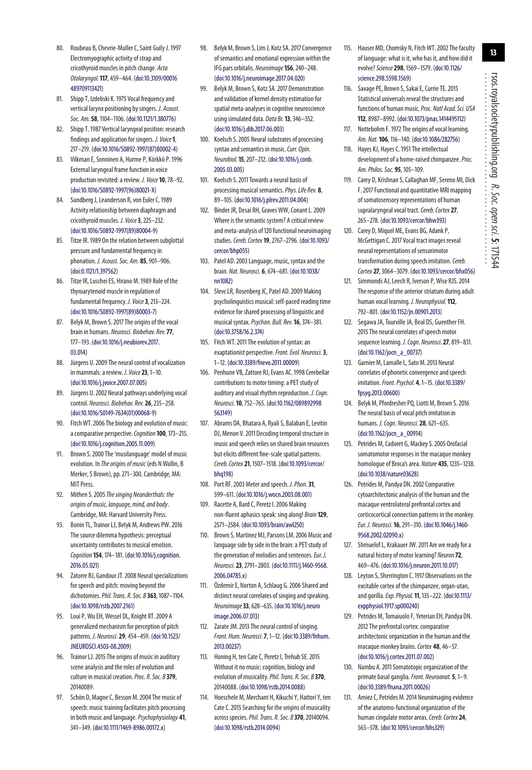- <span id="page-12-33"></span>80. Roubeau B, Chevrie-Muller C, Saint Guily J. 1997 Electromyographic activity of strap and cricothyroid muscles in pitch change. Acta Otolaryngol.**117**, 459–464. [\(doi:10.3109/00016](http://dx.doi.org/10.3109/00016489709113421) [489709113421\)](http://dx.doi.org/10.3109/00016489709113421)
- 81. Shipp T, Izdebski K. 1975 Vocal frequency and vertical larynx positioning by singers. J. Acoust. Soc. Am.**58**, 1104–1106. [\(doi:10.1121/1.380776\)](http://dx.doi.org/10.1121/1.380776)
- <span id="page-12-0"></span>82. Shipp T. 1987 Vertical laryngeal position: research findings and application for singers. J. Voice**1**, 217–219. [\(doi:10.1016/S0892-1997\(87\)80002-4\)](http://dx.doi.org/10.1016/S0892-1997(87)80002-4)
- <span id="page-12-1"></span>83. Vilkman E, Sonninen A, Hurme P, Körkkö P. 1996 External laryngeal frame function in voice production revisited: a review. J. Voice**10**, 78–92. [\(doi:10.1016/S0892-1997\(96\)80021-X\)](http://dx.doi.org/10.1016/S0892-1997(96)80021-X)
- <span id="page-12-2"></span>Sundberg J, Leanderson R, von Euler C. 1989 Activity relationship between diaphragm and cricothyroid muscles. J. Voice**3**, 225–232. [\(doi:10.1016/S0892-1997\(89\)80004-9\)](http://dx.doi.org/10.1016/S0892-1997(89)80004-9)
- 85. Titze IR. 1989 On the relation between subglottal pressure and fundamental frequency in phonation. J. Acoust. Soc. Am. **85**, 901–906. [\(doi:0.1121/1.397562\)](http://dx.doi.org/0.1121/1.397562)
- <span id="page-12-3"></span>86. Titze IR, Luschei ES, Hirano M. 1989 Role of the thyroarytenoid muscle in regulation of fundamental frequency. J. Voice**3**, 213–224. [\(doi:10.1016/S0892-1997\(89\)80003-7\)](http://dx.doi.org/10.1016/S0892-1997(89)80003-7)
- <span id="page-12-4"></span>87. Belyk M, Brown S. 2017 The origins of the vocal brain in humans. Neurosci. Biobehav. Rev.**77**, 177–193. [\(doi:10.1016/j.neubiorev.2017.](http://dx.doi.org/10.1016/j.neubiorev.2017.03.014) [03.014\)](http://dx.doi.org/10.1016/j.neubiorev.2017.03.014)
- 88. Jürgens U. 2009 The neural control of vocalization in mammals: a review. J. Voice**23**, 1–10. [\(doi:10.1016/j.jvoice.2007.07.005\)](http://dx.doi.org/10.1016/j.jvoice.2007.07.005)
- <span id="page-12-5"></span>89. Jürgens U. 2002 Neural pathways underlying vocal control. Neurosci. Biobehav. Rev.**26**, 235–258. [\(doi:10.1016/S0149-7634\(01\)00068-9\)](http://dx.doi.org/10.1016/S0149-7634(01)00068-9)
- <span id="page-12-6"></span>90. Fitch WT. 2006 The biology and evolution of music: a comparative perspective. Cognition **100**, 173-215. [\(doi:10.1016/j.cognition.2005.11.009\)](http://dx.doi.org/10.1016/j.cognition.2005.11.009)
- 91. Brown S. 2000 The 'musilanguage' model of music evolution. In The origins of music (eds N Wallin, B Merker, S Brown), pp. 271–300. Cambridge, MA: MIT Press.
- <span id="page-12-7"></span>92. Mithen S. 2005 The singing Neanderthals: the origins of music, language, mind, and body. Cambridge, MA: Harvard University Press.
- <span id="page-12-8"></span>93. Bonin TL, Trainor LJ, Belyk M, Andrews PW. 2016 The source dilemma hypothesis: perceptual uncertainty contributes to musical emotion. Cognition**154**, 174–181. [\(doi:10.1016/j.cognition.](http://dx.doi.org/10.1016/j.cognition.2016.05.021) [2016.05.021\)](http://dx.doi.org/10.1016/j.cognition.2016.05.021)
- 94. Zatorre RJ, Gandour JT. 2008 Neural specializations for speech and pitch: moving beyond the dichotomies.Phil. Trans. R. Soc. B **363**, 1087–1104. [\(doi:10.1098/rstb.2007.2161\)](http://dx.doi.org/10.1098/rstb.2007.2161)
- 95. Loui P, Wu EH, Wessel DL, Knight RT. 2009 A generalized mechanism for perception of pitch patterns. J. Neurosci.**29**, 454–459. [\(doi:10.1523/](http://dx.doi.org/10.1523/JNEUROSCI.4503-08.2009) [JNEUROSCI.4503-08.2009\)](http://dx.doi.org/10.1523/JNEUROSCI.4503-08.2009)
- <span id="page-12-18"></span>96. Trainor LJ. 2015 The origins of music in auditory scene analysis and the roles of evolution and culture in musical creation.Proc. R. Soc. B **379**, 20140089.
- <span id="page-12-9"></span>97. Schön D, Magne C, Besson M. 2004 The music of speech: music training facilitates pitch processing in both music and language.Psychophysiology **41**, 341–349. [\(doi:10.1111/1469-8986.00172.x\)](http://dx.doi.org/10.1111/1469-8986.00172.x)
- <span id="page-12-10"></span>98. Belyk M, Brown S, Lim J, Kotz SA. 2017 Convergence of semantics and emotional expression within the IFG pars orbitalis. Neuroimage**156**, 240–248. [\(doi:10.1016/j.neuroimage.2017.04.020\)](http://dx.doi.org/10.1016/j.neuroimage.2017.04.020)
- 99. Belyk M, Brown S, Kotz SA. 2017 Demonstration and validation of kernel density estimation for spatial meta-analyses in cognitive neuroscience using simulated data. Data Br. **13**, 346–352. [\(doi:10.1016/j.dib.2017.06.003\)](http://dx.doi.org/10.1016/j.dib.2017.06.003)
- 100. Koelsch S. 2005 Neural substrates of processing syntax and semantics in music. Curr. Opin. Neurobiol.**15**, 207–212. [\(doi:10.1016/j.conb.](http://dx.doi.org/10.1016/j.conb.2005.03.005) [2005.03.005\)](http://dx.doi.org/10.1016/j.conb.2005.03.005)
- 101. Koelsch S. 2011 Towards a neural basis of processing musical semantics.Phys. Life Rev. **8**, 89–105. [\(doi:10.1016/j.plrev.2011.04.004\)](http://dx.doi.org/10.1016/j.plrev.2011.04.004)
- <span id="page-12-11"></span>102. Binder JR, Desai RH, Graves WW, Conant L. 2009 Where is the semantic system? A critical review and meta-analysis of 120 functional neuroimaging studies.Cereb. Cortex **19**, 2767–2796. [\(doi:10.1093/](http://dx.doi.org/10.1093/cercor/bhp055) [cercor/bhp055\)](http://dx.doi.org/10.1093/cercor/bhp055)
- <span id="page-12-12"></span>103. Patel AD. 2003 Language, music, syntax and the brain. Nat. Neurosci. **6**, 674–681. [\(doi:10.1038/](http://dx.doi.org/10.1038/nn1082) [nn1082\)](http://dx.doi.org/10.1038/nn1082)
- 104. Slevc LR, Rosenberg JC, Patel AD. 2009 Making psycholinguistics musical: self-paced reading time evidence for shared processing of linguistic and musical syntax.Psychon. Bull. Rev.**16**, 374–381. [\(doi:10.3758/16.2.374\)](http://dx.doi.org/10.3758/16.2.374)
- <span id="page-12-13"></span>105. Fitch WT. 2011 The evolution of syntax: an exaptationist perspective.Front. Evol. Neurosci.**3**, 1–12. [\(doi:10.3389/fnevo.2011.00009\)](http://dx.doi.org/10.3389/fnevo.2011.00009)
- <span id="page-12-14"></span>106. Penhune VB, Zattore RJ, Evans AC. 1998 Cerebellar contributions to motor timing: a PET study of auditory and visual rhythm reproduction. J. Cogn. Neurosci.**10**, 752–765. [\(doi:10.1162/089892998](http://dx.doi.org/10.1162/089892998563149) [563149\)](http://dx.doi.org/10.1162/089892998563149)
- 107. Abrams DA, Bhatara A, Ryali S, Balaban E, Levitin DJ, Menon V. 2011 Decoding temporal structure in music and speech relies on shared brain resources but elicits different fine-scale spatial patterns. Cereb. Cortex **21**, 1507–1518. [\(doi:10.1093/cercor/](http://dx.doi.org/10.1093/cercor/bhq198) [bhq198\)](http://dx.doi.org/10.1093/cercor/bhq198)
- <span id="page-12-15"></span>108. Port RF. 2003 Meter and speech. J. Phon.**31**, 599–611. [\(doi:10.1016/j.wocn.2003.08.001\)](http://dx.doi.org/10.1016/j.wocn.2003.08.001)
- <span id="page-12-16"></span>109. Racette A, Bard C, Peretz I. 2006 Making non-fluent aphasics speak: sing along! Brain**129**, 2571–2584. [\(doi:10.1093/brain/awl250\)](http://dx.doi.org/10.1093/brain/awl250)
- 110. Brown S, Martinez MJ, Parsons LM. 2006 Music and language side by side in the brain: a PET study of the generation of melodies and sentences. Eur. J. Neurosci.**23**, 2791–2803. [\(doi:10.1111/j.1460-9568.](http://dx.doi.org/10.1111/j.1460-9568.2006.04785.x) [2006.04785.x\)](http://dx.doi.org/10.1111/j.1460-9568.2006.04785.x)
- 111. Özdemir E, Norton A, Schlaug G. 2006 Shared and distinct neural correlates of singing and speaking. Neuroimage**33**, 628–635. [\(doi:10.1016/j.neuro](http://dx.doi.org/10.1016/j.neuroimage.2006.07.013) [image.2006.07.013\)](http://dx.doi.org/10.1016/j.neuroimage.2006.07.013)
- <span id="page-12-17"></span>112. Zarate JM. 2013 The neural control of singing. Front. Hum. Neurosci.**7**, 1–12. [\(doi:10.3389/fnhum.](http://dx.doi.org/10.3389/fnhum.2013.00237) [2013.00237\)](http://dx.doi.org/10.3389/fnhum.2013.00237)
- <span id="page-12-19"></span>113. Honing H, ten Cate C, Peretz I, Trehub SE. 2015 Without it no music: cognition, biology and evolution of musicality.Phil. Trans. R. Soc. B **370**, 20140088. [\(doi:10.1098/rstb.2014.0088\)](http://dx.doi.org/10.1098/rstb.2014.0088)
- 114. Hoeschele M, Merchant H, Kikuchi Y, Hattori Y, ten Cate C. 2015 Searching for the origins of musicality across species.Phil. Trans. R. Soc. B **370**, 20140094. [\(doi:10.1098/rstb.2014.0094\)](http://dx.doi.org/10.1098/rstb.2014.0094)
- <span id="page-12-20"></span>115. Hauser MD, Chomsky N, Fitch WT. 2002 The faculty of language: what is it, who has it, and how did it evolve?Science**298**, 1569–1579. [\(doi:10.1126/](http://dx.doi.org/10.1126/science.298.5598.1569) [science.298.5598.1569\)](http://dx.doi.org/10.1126/science.298.5598.1569)
- <span id="page-12-21"></span>116. Savage PE, Brown S, Sakai E, Currie TE. 2015 Statistical universals reveal the structures and functions of human music.Proc. Natl Acad. Sci. USA **112**, 8987–8992. [\(doi:10.1073/pnas.1414495112\)](http://dx.doi.org/10.1073/pnas.1414495112)
- <span id="page-12-22"></span>117. Nottebohm F. 1972 The origins of vocal learning. Am. Nat.**106**, 116–140. [\(doi:10.1086/282756\)](http://dx.doi.org/10.1086/282756)
- <span id="page-12-23"></span>118. Hayes KJ, Hayes C. 1951 The intellectual development of a home-raised chimpanzee. Proc. Am. Philos. Soc. **95**, 105–109.
- <span id="page-12-24"></span>119. Carey D, Krishnan S, Callaghan MF, Sereno MI, Dick F. 2017 Functional and quantitative MRI mapping of somatosensory representations of human supralaryngeal vocal tract. Cereb. Cortex 27, 265–278. [\(doi:10.1093/cercor/bhw393\)](http://dx.doi.org/10.1093/cercor/bhw393)
- 120. Carey D, Miquel ME, Evans BG, Adank P, McGettigan C. 2017 Vocal tract images reveal neural representations of sensorimotor transformation during speech imitation. Cereb. Cortex **27**, 3064–3079. [\(doi:10.1093/cercor/bhx056\)](http://dx.doi.org/10.1093/cercor/bhx056)
- <span id="page-12-32"></span>121. Simmonds AJ, Leech R, Iverson P, Wise RJS. 2014 The response of the anterior striatum during adult human vocal learning. J. Neurophysiol.**112**, 792–801. [\(doi:10.1152/jn.00901.2013\)](http://dx.doi.org/10.1152/jn.00901.2013)
- <span id="page-12-25"></span>122. Segawa JA, Tourville JA, Beal DS, Guenther FH. 2015 The neural correlates of speech motor sequence learning. J. Cogn. Neurosci.**27**, 819–831. [\(doi:10.1162/jocn\\_a\\_00737\)](http://dx.doi.org/10.1162/jocn_a_00737)
- <span id="page-12-26"></span>123. Garnier M, Lamalle L, Sato M. 2013 Neural correlates of phonetic convergence and speech imitation.Front. Psychol. **4**, 1–15. [\(doi:10.3389/](http://dx.doi.org/10.3389/fpsyg.2013.00600) [fpsyg.2013.00600\)](http://dx.doi.org/10.3389/fpsyg.2013.00600)
- <span id="page-12-27"></span>124. Belyk M, Pfordresher PQ, Liotti M, Brown S. 2016 The neural basis of vocal pitch imitation in humans. J. Cogn. Neurosci.**28**, 621–635. [\(doi:10.1162/jocn\\_a\\_00914\)](http://dx.doi.org/10.1162/jocn_a_00914)
- <span id="page-12-28"></span>125. Petrides M, Cadoret G, Mackey S. 2005 Orofacial somatomotor responses in the macaque monkey homologue of Broca's area. Nature **435**, 1235–1238. [\(doi:10.1038/nature03628\)](http://dx.doi.org/10.1038/nature03628)
- 126. Petrides M, Pandya DN. 2002 Comparative cytoarchitectonic analysis of the human and the macaque ventrolateral prefrontal cortex and corticocortical connection patterns in the monkey. Eur. J. Neurosci.**16**, 291–310. [\(doi:10.1046/j.1460-](http://dx.doi.org/10.1046/j.1460-9568.2002.02090.x) [9568.2002.02090.x\)](http://dx.doi.org/10.1046/j.1460-9568.2002.02090.x)
- 127. Shmuelof L, Krakauer JW. 2011 Are we ready for a natural history of motor learning? Neuron**72**, 469–476. [\(doi:10.1016/j.neuron.2011.10.017\)](http://dx.doi.org/10.1016/j.neuron.2011.10.017)
- <span id="page-12-30"></span>128. Leyton S, Sherrington C. 1917 Observations on the excitable cortex of the chimpanzee, organ-utan, and gorilla.Exp. Physiol.**11**, 135–222. [\(doi:10.1113/](http://dx.doi.org/10.1113/expphysiol.1917.sp000240) [expphysiol.1917.sp000240\)](http://dx.doi.org/10.1113/expphysiol.1917.sp000240)
- <span id="page-12-29"></span>129. Petrides M, Tomaiuolo F, Yeterian EH, Pandya DN. 2012 The prefrontal cortex: comparative architectonic organization in the human and the macaque monkey brains. Cortex 48, 46-57. [\(doi:10.1016/j.cortex.2011.07.002\)](http://dx.doi.org/10.1016/j.cortex.2011.07.002)
- <span id="page-12-31"></span>130. Nambu A. 2011 Somatotopic organization of the primate basal ganglia.Front. Neuroanat.**5**, 1–9. [\(doi:10.3389/fnana.2011.00026\)](http://dx.doi.org/10.3389/fnana.2011.00026)
- 131. Amiez C, Petrides M. 2014 Neuroimaging evidence of the anatomo-functional organization of the human cingulate motor areas. Cereb. Cortex 24, 563–578. [\(doi:10.1093/cercor/bhs329\)](http://dx.doi.org/10.1093/cercor/bhs329)